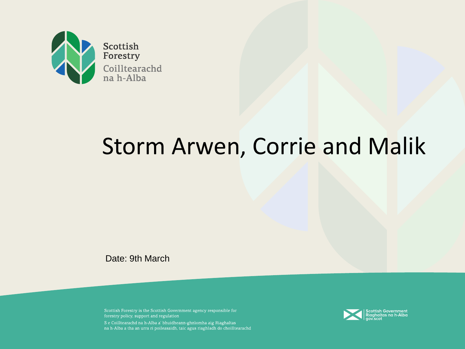

# Storm Arwen, Corrie and Malik

Date: 9th March

Scottish Forestry is the Scottish Government agency responsible for forestry policy, support and regulation S e Coilltearachd na h-Alba a' bhuidheann-ghnìomha aig Riaghaltas na h-Alba a tha an urra ri poileasaidh, taic agus riaghladh do choilltearachd

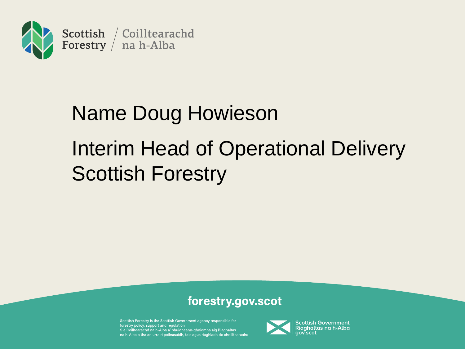

# Name Doug Howieson Interim Head of Operational Delivery Scottish Forestry

#### forestry.gov.scot

Scottish Forestry is the Scottish Government agency responsible for forestry policy, support and regulation S e Coilltearachd na h-Alba a' bhuidheann-ghnìomha aig Riaghaltas na h-Alba a tha an urra ri poileasaidh, taic agus riaghladh do choilltearachd

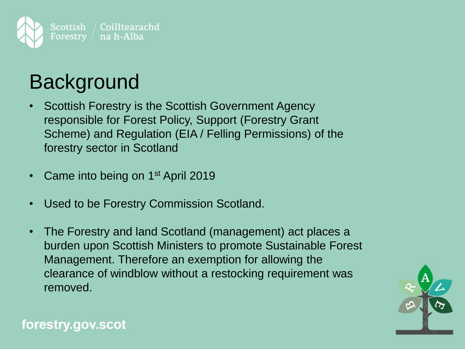

## **Background**

- Scottish Forestry is the Scottish Government Agency responsible for Forest Policy, Support (Forestry Grant Scheme) and Regulation (EIA / Felling Permissions) of the forestry sector in Scotland
- Came into being on 1<sup>st</sup> April 2019
- Used to be Forestry Commission Scotland.
- The Forestry and land Scotland (management) act places a burden upon Scottish Ministers to promote Sustainable Forest Management. Therefore an exemption for allowing the clearance of windblow without a restocking requirement was removed.

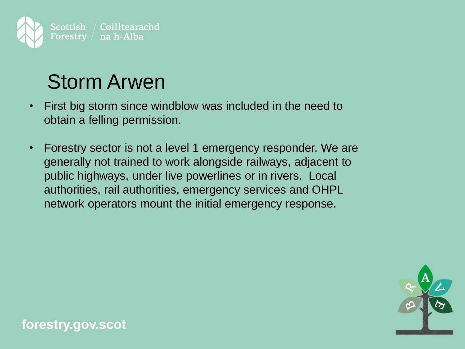

### Storm Arwen

- First big storm since windblow was included in the need to obtain a felling permission.
- Forestry sector is not a level 1 emergency responder. We are generally not trained to work alongside railways, adjacent to public highways, under live powerlines or in rivers. Local authorities, rail authorities, emergency services and OHPL network operators mount the initial emergency response.

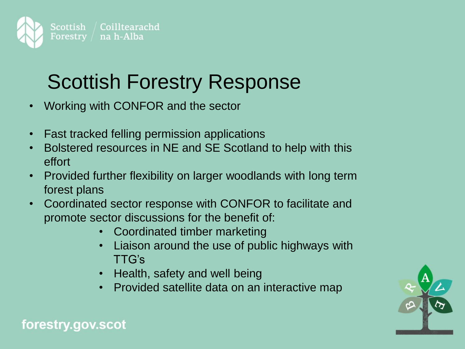

### Scottish Forestry Response

- Working with CONFOR and the sector
- Fast tracked felling permission applications
- Bolstered resources in NE and SE Scotland to help with this effort
- Provided further flexibility on larger woodlands with long term forest plans
- Coordinated sector response with CONFOR to facilitate and promote sector discussions for the benefit of:
	- Coordinated timber marketing
	- Liaison around the use of public highways with TTG's
	- Health, safety and well being
	- Provided satellite data on an interactive map